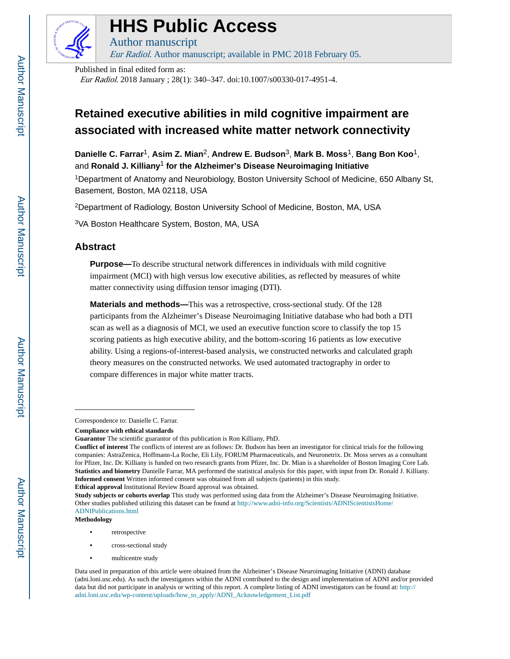

### **HHS Public Access**

Eur Radiol. Author manuscript; available in PMC 2018 February 05.

Published in final edited form as:

Author manuscript

Eur Radiol. 2018 January ; 28(1): 340–347. doi:10.1007/s00330-017-4951-4.

### **Retained executive abilities in mild cognitive impairment are associated with increased white matter network connectivity**

**Danielle C. Farrar**1, **Asim Z. Mian**2, **Andrew E. Budson**3, **Mark B. Moss**1, **Bang Bon Koo**1, and **Ronald J. Killiany**<sup>1</sup> **for the Alzheimer's Disease Neuroimaging Initiative**

<sup>1</sup>Department of Anatomy and Neurobiology, Boston University School of Medicine, 650 Albany St, Basement, Boston, MA 02118, USA

<sup>2</sup>Department of Radiology, Boston University School of Medicine, Boston, MA, USA

<sup>3</sup>VA Boston Healthcare System, Boston, MA, USA

#### **Abstract**

**Purpose—**To describe structural network differences in individuals with mild cognitive impairment (MCI) with high versus low executive abilities, as reflected by measures of white matter connectivity using diffusion tensor imaging (DTI).

**Materials and methods—**This was a retrospective, cross-sectional study. Of the 128 participants from the Alzheimer's Disease Neuroimaging Initiative database who had both a DTI scan as well as a diagnosis of MCI, we used an executive function score to classify the top 15 scoring patients as high executive ability, and the bottom-scoring 16 patients as low executive ability. Using a regions-of-interest-based analysis, we constructed networks and calculated graph theory measures on the constructed networks. We used automated tractography in order to compare differences in major white matter tracts.

Correspondence to: Danielle C. Farrar.

**Study subjects or cohorts overlap** This study was performed using data from the Alzheimer's Disease Neuroimaging Initiative. Other studies published utilizing this dataset can be found at [http://www.adni-info.org/Scientists/ADNIScientistsHome/](http://www.adni-info.org/Scientists/ADNIScientistsHome/ADNIPublications.html) [ADNIPublications.html](http://www.adni-info.org/Scientists/ADNIScientistsHome/ADNIPublications.html)

**Methodology**

- **•** retrospective
- **•** cross-sectional study
- **•** multicentre study

**Compliance with ethical standards**

**Guarantor** The scientific guarantor of this publication is Ron Killiany, PhD.

**Conflict of interest** The conflicts of interest are as follows: Dr. Budson has been an investigator for clinical trials for the following companies: AstraZenica, Hoffmann-La Roche, Eli Lily, FORUM Pharmaceuticals, and Neuronetrix. Dr. Moss serves as a consultant for Pfizer, Inc. Dr. Killiany is funded on two research grants from Pfizer, Inc. Dr. Mian is a shareholder of Boston Imaging Core Lab. **Statistics and biometry** Danielle Farrar, MA performed the statistical analysis for this paper, with input from Dr. Ronald J. Killiany. **Informed consent** Written informed consent was obtained from all subjects (patients) in this study. **Ethical approval** Institutional Review Board approval was obtained.

Data used in preparation of this article were obtained from the Alzheimer's Disease Neuroimaging Initiative (ADNI) database (adni.loni.usc.edu). As such the investigators within the ADNI contributed to the design and implementation of ADNI and/or provided data but did not participate in analysis or writing of this report. A complete listing of ADNI investigators can be found at: [http://](http://adni.loni.usc.edu/wp-content/uploads/how_to_apply/ADNI_Acknowledgement_List.pdf) [adni.loni.usc.edu/wp-content/uploads/how\\_to\\_apply/ADNI\\_Acknowledgement\\_List.pdf](http://adni.loni.usc.edu/wp-content/uploads/how_to_apply/ADNI_Acknowledgement_List.pdf)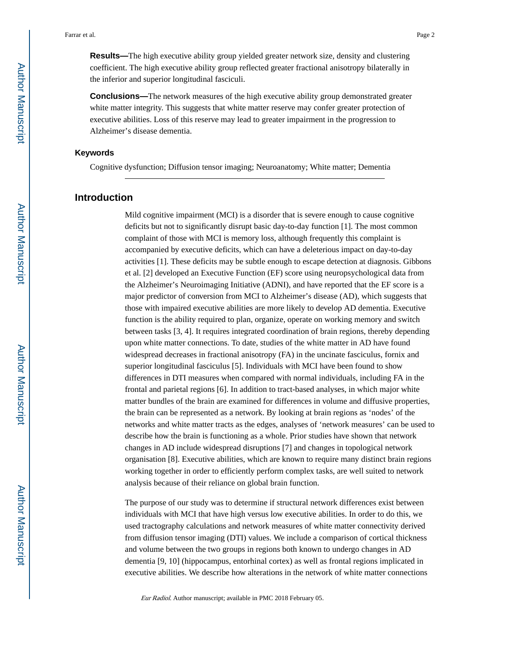**Results—**The high executive ability group yielded greater network size, density and clustering coefficient. The high executive ability group reflected greater fractional anisotropy bilaterally in the inferior and superior longitudinal fasciculi.

**Conclusions—**The network measures of the high executive ability group demonstrated greater white matter integrity. This suggests that white matter reserve may confer greater protection of executive abilities. Loss of this reserve may lead to greater impairment in the progression to Alzheimer's disease dementia.

#### **Keywords**

Cognitive dysfunction; Diffusion tensor imaging; Neuroanatomy; White matter; Dementia

#### **Introduction**

Mild cognitive impairment (MCI) is a disorder that is severe enough to cause cognitive deficits but not to significantly disrupt basic day-to-day function [1]. The most common complaint of those with MCI is memory loss, although frequently this complaint is accompanied by executive deficits, which can have a deleterious impact on day-to-day activities [1]. These deficits may be subtle enough to escape detection at diagnosis. Gibbons et al. [2] developed an Executive Function (EF) score using neuropsychological data from the Alzheimer's Neuroimaging Initiative (ADNI), and have reported that the EF score is a major predictor of conversion from MCI to Alzheimer's disease (AD), which suggests that those with impaired executive abilities are more likely to develop AD dementia. Executive function is the ability required to plan, organize, operate on working memory and switch between tasks [3, 4]. It requires integrated coordination of brain regions, thereby depending upon white matter connections. To date, studies of the white matter in AD have found widespread decreases in fractional anisotropy (FA) in the uncinate fasciculus, fornix and superior longitudinal fasciculus [5]. Individuals with MCI have been found to show differences in DTI measures when compared with normal individuals, including FA in the frontal and parietal regions [6]. In addition to tract-based analyses, in which major white matter bundles of the brain are examined for differences in volume and diffusive properties, the brain can be represented as a network. By looking at brain regions as 'nodes' of the networks and white matter tracts as the edges, analyses of 'network measures' can be used to describe how the brain is functioning as a whole. Prior studies have shown that network changes in AD include widespread disruptions [7] and changes in topological network organisation [8]. Executive abilities, which are known to require many distinct brain regions working together in order to efficiently perform complex tasks, are well suited to network analysis because of their reliance on global brain function.

The purpose of our study was to determine if structural network differences exist between individuals with MCI that have high versus low executive abilities. In order to do this, we used tractography calculations and network measures of white matter connectivity derived from diffusion tensor imaging (DTI) values. We include a comparison of cortical thickness and volume between the two groups in regions both known to undergo changes in AD dementia [9, 10] (hippocampus, entorhinal cortex) as well as frontal regions implicated in executive abilities. We describe how alterations in the network of white matter connections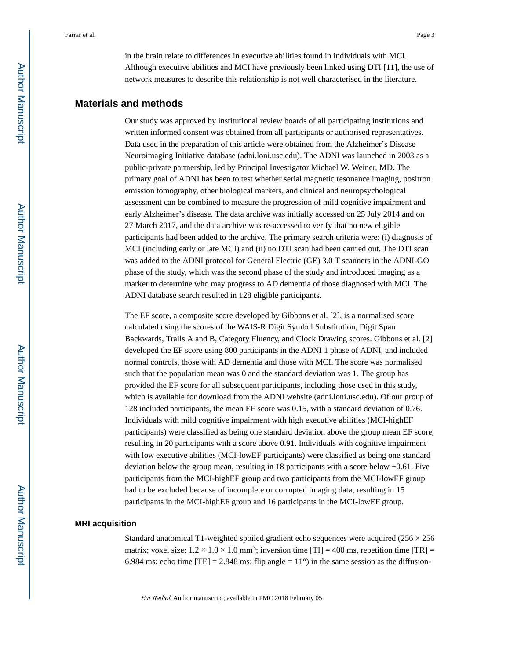in the brain relate to differences in executive abilities found in individuals with MCI. Although executive abilities and MCI have previously been linked using DTI [11], the use of network measures to describe this relationship is not well characterised in the literature.

#### **Materials and methods**

Our study was approved by institutional review boards of all participating institutions and written informed consent was obtained from all participants or authorised representatives. Data used in the preparation of this article were obtained from the Alzheimer's Disease Neuroimaging Initiative database (adni.loni.usc.edu). The ADNI was launched in 2003 as a public-private partnership, led by Principal Investigator Michael W. Weiner, MD. The primary goal of ADNI has been to test whether serial magnetic resonance imaging, positron emission tomography, other biological markers, and clinical and neuropsychological assessment can be combined to measure the progression of mild cognitive impairment and early Alzheimer's disease. The data archive was initially accessed on 25 July 2014 and on 27 March 2017, and the data archive was re-accessed to verify that no new eligible participants had been added to the archive. The primary search criteria were: (i) diagnosis of MCI (including early or late MCI) and (ii) no DTI scan had been carried out. The DTI scan was added to the ADNI protocol for General Electric (GE) 3.0 T scanners in the ADNI-GO phase of the study, which was the second phase of the study and introduced imaging as a marker to determine who may progress to AD dementia of those diagnosed with MCI. The ADNI database search resulted in 128 eligible participants.

The EF score, a composite score developed by Gibbons et al. [2], is a normalised score calculated using the scores of the WAIS-R Digit Symbol Substitution, Digit Span Backwards, Trails A and B, Category Fluency, and Clock Drawing scores. Gibbons et al. [2] developed the EF score using 800 participants in the ADNI 1 phase of ADNI, and included normal controls, those with AD dementia and those with MCI. The score was normalised such that the population mean was 0 and the standard deviation was 1. The group has provided the EF score for all subsequent participants, including those used in this study, which is available for download from the ADNI website (adni.loni.usc.edu). Of our group of 128 included participants, the mean EF score was 0.15, with a standard deviation of 0.76. Individuals with mild cognitive impairment with high executive abilities (MCI-highEF participants) were classified as being one standard deviation above the group mean EF score, resulting in 20 participants with a score above 0.91. Individuals with cognitive impairment with low executive abilities (MCI-lowEF participants) were classified as being one standard deviation below the group mean, resulting in 18 participants with a score below −0.61. Five participants from the MCI-highEF group and two participants from the MCI-lowEF group had to be excluded because of incomplete or corrupted imaging data, resulting in 15 participants in the MCI-highEF group and 16 participants in the MCI-lowEF group.

#### **MRI acquisition**

Standard anatomical T1-weighted spoiled gradient echo sequences were acquired  $(256 \times 256)$ matrix; voxel size:  $1.2 \times 1.0 \times 1.0$  mm<sup>3</sup>; inversion time [TI] = 400 ms, repetition time [TR] = 6.984 ms; echo time  $[TE] = 2.848$  ms; flip angle = 11°) in the same session as the diffusion-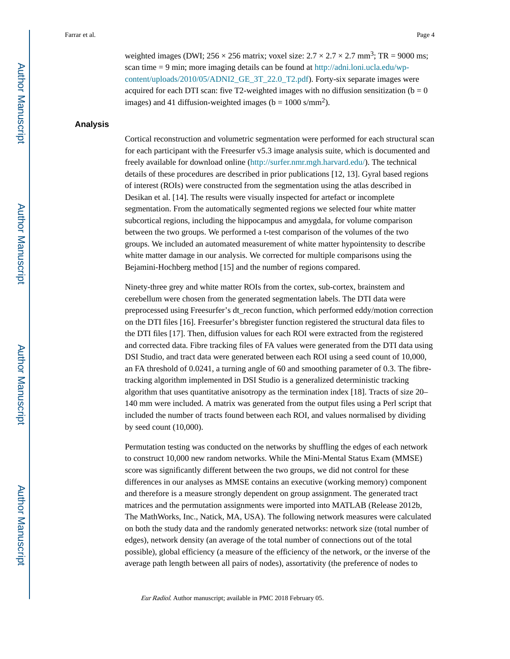weighted images (DWI;  $256 \times 256$  matrix; voxel size:  $2.7 \times 2.7 \times 2.7$  mm<sup>3</sup>; TR = 9000 ms; scan time = 9 min; more imaging details can be found at [http://adni.loni.ucla.edu/wp](http://adni.loni.ucla.edu/wp-content/uploads/2010/05/ADNI2_GE_3T_22.0_T2.pdf)[content/uploads/2010/05/ADNI2\\_GE\\_3T\\_22.0\\_T2.pdf\)](http://adni.loni.ucla.edu/wp-content/uploads/2010/05/ADNI2_GE_3T_22.0_T2.pdf). Forty-six separate images were acquired for each DTI scan: five T2-weighted images with no diffusion sensitization ( $b = 0$ ) images) and 41 diffusion-weighted images ( $b = 1000 \text{ s/mm}^2$ ).

#### **Analysis**

Cortical reconstruction and volumetric segmentation were performed for each structural scan for each participant with the Freesurfer v5.3 image analysis suite, which is documented and freely available for download online (<http://surfer.nmr.mgh.harvard.edu/>). The technical details of these procedures are described in prior publications [12, 13]. Gyral based regions of interest (ROIs) were constructed from the segmentation using the atlas described in Desikan et al. [14]. The results were visually inspected for artefact or incomplete segmentation. From the automatically segmented regions we selected four white matter subcortical regions, including the hippocampus and amygdala, for volume comparison between the two groups. We performed a t-test comparison of the volumes of the two groups. We included an automated measurement of white matter hypointensity to describe white matter damage in our analysis. We corrected for multiple comparisons using the Bejamini-Hochberg method [15] and the number of regions compared.

Ninety-three grey and white matter ROIs from the cortex, sub-cortex, brainstem and cerebellum were chosen from the generated segmentation labels. The DTI data were preprocessed using Freesurfer's dt\_recon function, which performed eddy/motion correction on the DTI files [16]. Freesurfer's bbregister function registered the structural data files to the DTI files [17]. Then, diffusion values for each ROI were extracted from the registered and corrected data. Fibre tracking files of FA values were generated from the DTI data using DSI Studio, and tract data were generated between each ROI using a seed count of 10,000, an FA threshold of 0.0241, a turning angle of 60 and smoothing parameter of 0.3. The fibretracking algorithm implemented in DSI Studio is a generalized deterministic tracking algorithm that uses quantitative anisotropy as the termination index [18]. Tracts of size 20– 140 mm were included. A matrix was generated from the output files using a Perl script that included the number of tracts found between each ROI, and values normalised by dividing by seed count (10,000).

Permutation testing was conducted on the networks by shuffling the edges of each network to construct 10,000 new random networks. While the Mini-Mental Status Exam (MMSE) score was significantly different between the two groups, we did not control for these differences in our analyses as MMSE contains an executive (working memory) component and therefore is a measure strongly dependent on group assignment. The generated tract matrices and the permutation assignments were imported into MATLAB (Release 2012b, The MathWorks, Inc., Natick, MA, USA). The following network measures were calculated on both the study data and the randomly generated networks: network size (total number of edges), network density (an average of the total number of connections out of the total possible), global efficiency (a measure of the efficiency of the network, or the inverse of the average path length between all pairs of nodes), assortativity (the preference of nodes to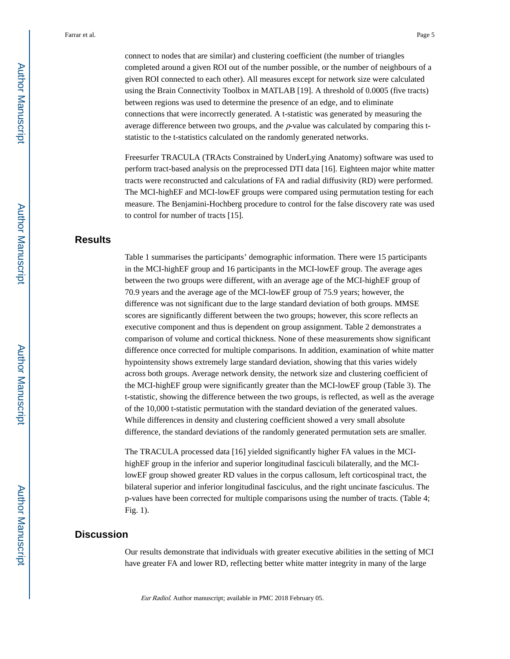connect to nodes that are similar) and clustering coefficient (the number of triangles completed around a given ROI out of the number possible, or the number of neighbours of a given ROI connected to each other). All measures except for network size were calculated using the Brain Connectivity Toolbox in MATLAB [19]. A threshold of 0.0005 (five tracts) between regions was used to determine the presence of an edge, and to eliminate connections that were incorrectly generated. A t-statistic was generated by measuring the average difference between two groups, and the  $p$ -value was calculated by comparing this tstatistic to the t-statistics calculated on the randomly generated networks.

Freesurfer TRACULA (TRActs Constrained by UnderLying Anatomy) software was used to perform tract-based analysis on the preprocessed DTI data [16]. Eighteen major white matter tracts were reconstructed and calculations of FA and radial diffusivity (RD) were performed. The MCI-highEF and MCI-lowEF groups were compared using permutation testing for each measure. The Benjamini-Hochberg procedure to control for the false discovery rate was used to control for number of tracts [15].

#### **Results**

Table 1 summarises the participants' demographic information. There were 15 participants in the MCI-highEF group and 16 participants in the MCI-lowEF group. The average ages between the two groups were different, with an average age of the MCI-highEF group of 70.9 years and the average age of the MCI-lowEF group of 75.9 years; however, the difference was not significant due to the large standard deviation of both groups. MMSE scores are significantly different between the two groups; however, this score reflects an executive component and thus is dependent on group assignment. Table 2 demonstrates a comparison of volume and cortical thickness. None of these measurements show significant difference once corrected for multiple comparisons. In addition, examination of white matter hypointensity shows extremely large standard deviation, showing that this varies widely across both groups. Average network density, the network size and clustering coefficient of the MCI-highEF group were significantly greater than the MCI-lowEF group (Table 3). The t-statistic, showing the difference between the two groups, is reflected, as well as the average of the 10,000 t-statistic permutation with the standard deviation of the generated values. While differences in density and clustering coefficient showed a very small absolute difference, the standard deviations of the randomly generated permutation sets are smaller.

The TRACULA processed data [16] yielded significantly higher FA values in the MCIhighEF group in the inferior and superior longitudinal fasciculi bilaterally, and the MCIlowEF group showed greater RD values in the corpus callosum, left corticospinal tract, the bilateral superior and inferior longitudinal fasciculus, and the right uncinate fasciculus. The p-values have been corrected for multiple comparisons using the number of tracts. (Table 4; Fig. 1).

#### **Discussion**

Our results demonstrate that individuals with greater executive abilities in the setting of MCI have greater FA and lower RD, reflecting better white matter integrity in many of the large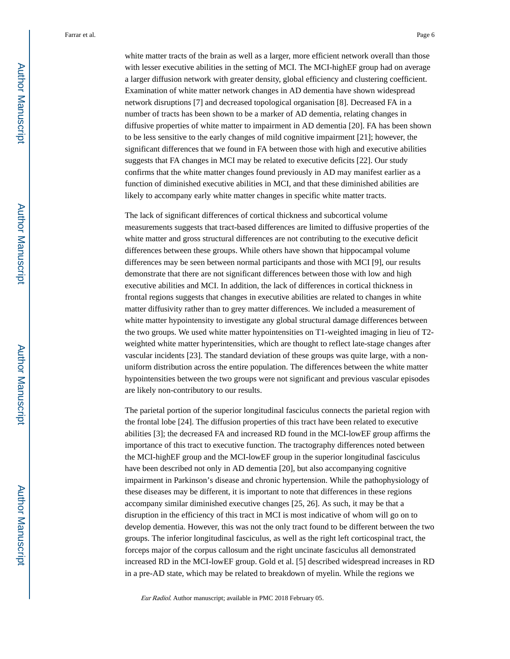white matter tracts of the brain as well as a larger, more efficient network overall than those with lesser executive abilities in the setting of MCI. The MCI-highEF group had on average a larger diffusion network with greater density, global efficiency and clustering coefficient. Examination of white matter network changes in AD dementia have shown widespread network disruptions [7] and decreased topological organisation [8]. Decreased FA in a number of tracts has been shown to be a marker of AD dementia, relating changes in diffusive properties of white matter to impairment in AD dementia [20]. FA has been shown to be less sensitive to the early changes of mild cognitive impairment [21]; however, the significant differences that we found in FA between those with high and executive abilities suggests that FA changes in MCI may be related to executive deficits [22]. Our study confirms that the white matter changes found previously in AD may manifest earlier as a function of diminished executive abilities in MCI, and that these diminished abilities are likely to accompany early white matter changes in specific white matter tracts.

The lack of significant differences of cortical thickness and subcortical volume measurements suggests that tract-based differences are limited to diffusive properties of the white matter and gross structural differences are not contributing to the executive deficit differences between these groups. While others have shown that hippocampal volume differences may be seen between normal participants and those with MCI [9], our results demonstrate that there are not significant differences between those with low and high executive abilities and MCI. In addition, the lack of differences in cortical thickness in frontal regions suggests that changes in executive abilities are related to changes in white matter diffusivity rather than to grey matter differences. We included a measurement of white matter hypointensity to investigate any global structural damage differences between the two groups. We used white matter hypointensities on T1-weighted imaging in lieu of T2 weighted white matter hyperintensities, which are thought to reflect late-stage changes after vascular incidents [23]. The standard deviation of these groups was quite large, with a nonuniform distribution across the entire population. The differences between the white matter hypointensities between the two groups were not significant and previous vascular episodes are likely non-contributory to our results.

The parietal portion of the superior longitudinal fasciculus connects the parietal region with the frontal lobe [24]. The diffusion properties of this tract have been related to executive abilities [3]; the decreased FA and increased RD found in the MCI-lowEF group affirms the importance of this tract to executive function. The tractography differences noted between the MCI-highEF group and the MCI-lowEF group in the superior longitudinal fasciculus have been described not only in AD dementia [20], but also accompanying cognitive impairment in Parkinson's disease and chronic hypertension. While the pathophysiology of these diseases may be different, it is important to note that differences in these regions accompany similar diminished executive changes [25, 26]. As such, it may be that a disruption in the efficiency of this tract in MCI is most indicative of whom will go on to develop dementia. However, this was not the only tract found to be different between the two groups. The inferior longitudinal fasciculus, as well as the right left corticospinal tract, the forceps major of the corpus callosum and the right uncinate fasciculus all demonstrated increased RD in the MCI-lowEF group. Gold et al. [5] described widespread increases in RD in a pre-AD state, which may be related to breakdown of myelin. While the regions we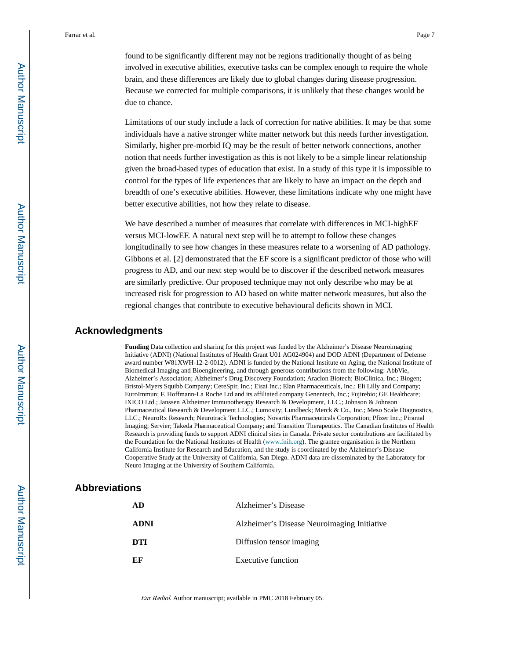found to be significantly different may not be regions traditionally thought of as being involved in executive abilities, executive tasks can be complex enough to require the whole brain, and these differences are likely due to global changes during disease progression. Because we corrected for multiple comparisons, it is unlikely that these changes would be due to chance.

Limitations of our study include a lack of correction for native abilities. It may be that some individuals have a native stronger white matter network but this needs further investigation. Similarly, higher pre-morbid IQ may be the result of better network connections, another notion that needs further investigation as this is not likely to be a simple linear relationship given the broad-based types of education that exist. In a study of this type it is impossible to control for the types of life experiences that are likely to have an impact on the depth and breadth of one's executive abilities. However, these limitations indicate why one might have better executive abilities, not how they relate to disease.

We have described a number of measures that correlate with differences in MCI-highEF versus MCI-lowEF. A natural next step will be to attempt to follow these changes longitudinally to see how changes in these measures relate to a worsening of AD pathology. Gibbons et al. [2] demonstrated that the EF score is a significant predictor of those who will progress to AD, and our next step would be to discover if the described network measures are similarly predictive. Our proposed technique may not only describe who may be at increased risk for progression to AD based on white matter network measures, but also the regional changes that contribute to executive behavioural deficits shown in MCI.

#### **Acknowledgments**

**Funding** Data collection and sharing for this project was funded by the Alzheimer's Disease Neuroimaging Initiative (ADNI) (National Institutes of Health Grant U01 AG024904) and DOD ADNI (Department of Defense award number W81XWH-12-2-0012). ADNI is funded by the National Institute on Aging, the National Institute of Biomedical Imaging and Bioengineering, and through generous contributions from the following: AbbVie, Alzheimer's Association; Alzheimer's Drug Discovery Foundation; Araclon Biotech; BioClinica, Inc.; Biogen; Bristol-Myers Squibb Company; CereSpir, Inc.; Eisai Inc.; Elan Pharmaceuticals, Inc.; Eli Lilly and Company; EuroImmun; F. Hoffmann-La Roche Ltd and its affiliated company Genentech, Inc.; Fujirebio; GE Healthcare; IXICO Ltd.; Janssen Alzheimer Immunotherapy Research & Development, LLC.; Johnson & Johnson Pharmaceutical Research & Development LLC.; Lumosity; Lundbeck; Merck & Co., Inc.; Meso Scale Diagnostics, LLC.; NeuroRx Research; Neurotrack Technologies; Novartis Pharmaceuticals Corporation; Pfizer Inc.; Piramal Imaging; Servier; Takeda Pharmaceutical Company; and Transition Therapeutics. The Canadian Institutes of Health Research is providing funds to support ADNI clinical sites in Canada. Private sector contributions are facilitated by the Foundation for the National Institutes of Health (www.fnih.org). The grantee organisation is the Northern California Institute for Research and Education, and the study is coordinated by the Alzheimer's Disease Cooperative Study at the University of California, San Diego. ADNI data are disseminated by the Laboratory for Neuro Imaging at the University of Southern California.

#### **Abbreviations**

| AD   | Alzheimer's Disease                         |
|------|---------------------------------------------|
| ADNI | Alzheimer's Disease Neuroimaging Initiative |
| DTI  | Diffusion tensor imaging                    |
| ЕF   | Executive function                          |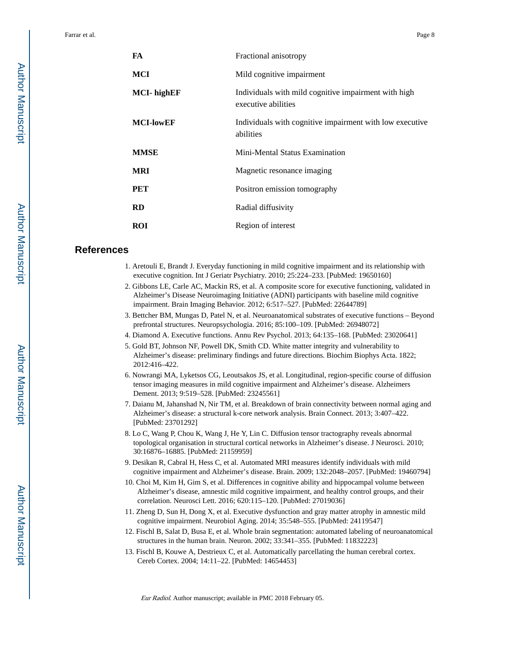| FA               | Fractional anisotropy                                                       |
|------------------|-----------------------------------------------------------------------------|
| MCI              | Mild cognitive impairment                                                   |
| MCI-highEF       | Individuals with mild cognitive impairment with high<br>executive abilities |
| <b>MCI-lowEF</b> | Individuals with cognitive impairment with low executive<br>abilities       |
| <b>MMSE</b>      | Mini-Mental Status Examination                                              |
| MRI              | Magnetic resonance imaging                                                  |
| PET              | Positron emission tomography                                                |
| <b>RD</b>        | Radial diffusivity                                                          |
| <b>ROI</b>       | Region of interest                                                          |

#### **References**

- 1. Aretouli E, Brandt J. Everyday functioning in mild cognitive impairment and its relationship with executive cognition. Int J Geriatr Psychiatry. 2010; 25:224–233. [PubMed: 19650160]
- 2. Gibbons LE, Carle AC, Mackin RS, et al. A composite score for executive functioning, validated in Alzheimer's Disease Neuroimaging Initiative (ADNI) participants with baseline mild cognitive impairment. Brain Imaging Behavior. 2012; 6:517–527. [PubMed: 22644789]
- 3. Bettcher BM, Mungas D, Patel N, et al. Neuroanatomical substrates of executive functions Beyond prefrontal structures. Neuropsychologia. 2016; 85:100–109. [PubMed: 26948072]
- 4. Diamond A. Executive functions. Annu Rev Psychol. 2013; 64:135–168. [PubMed: 23020641]
- 5. Gold BT, Johnson NF, Powell DK, Smith CD. White matter integrity and vulnerability to Alzheimer's disease: preliminary findings and future directions. Biochim Biophys Acta. 1822; 2012:416–422.
- 6. Nowrangi MA, Lyketsos CG, Leoutsakos JS, et al. Longitudinal, region-specific course of diffusion tensor imaging measures in mild cognitive impairment and Alzheimer's disease. Alzheimers Dement. 2013; 9:519–528. [PubMed: 23245561]
- 7. Daianu M, Jahanshad N, Nir TM, et al. Breakdown of brain connectivity between normal aging and Alzheimer's disease: a structural k-core network analysis. Brain Connect. 2013; 3:407–422. [PubMed: 23701292]
- 8. Lo C, Wang P, Chou K, Wang J, He Y, Lin C. Diffusion tensor tractography reveals abnormal topological organisation in structural cortical networks in Alzheimer's disease. J Neurosci. 2010; 30:16876–16885. [PubMed: 21159959]
- 9. Desikan R, Cabral H, Hess C, et al. Automated MRI measures identify individuals with mild cognitive impairment and Alzheimer's disease. Brain. 2009; 132:2048–2057. [PubMed: 19460794]
- 10. Choi M, Kim H, Gim S, et al. Differences in cognitive ability and hippocampal volume between Alzheimer's disease, amnestic mild cognitive impairment, and healthy control groups, and their correlation. Neurosci Lett. 2016; 620:115–120. [PubMed: 27019036]
- 11. Zheng D, Sun H, Dong X, et al. Executive dysfunction and gray matter atrophy in amnestic mild cognitive impairment. Neurobiol Aging. 2014; 35:548–555. [PubMed: 24119547]
- 12. Fischl B, Salat D, Busa E, et al. Whole brain segmentation: automated labeling of neuroanatomical structures in the human brain. Neuron. 2002; 33:341–355. [PubMed: 11832223]
- 13. Fischl B, Kouwe A, Destrieux C, et al. Automatically parcellating the human cerebral cortex. Cereb Cortex. 2004; 14:11–22. [PubMed: 14654453]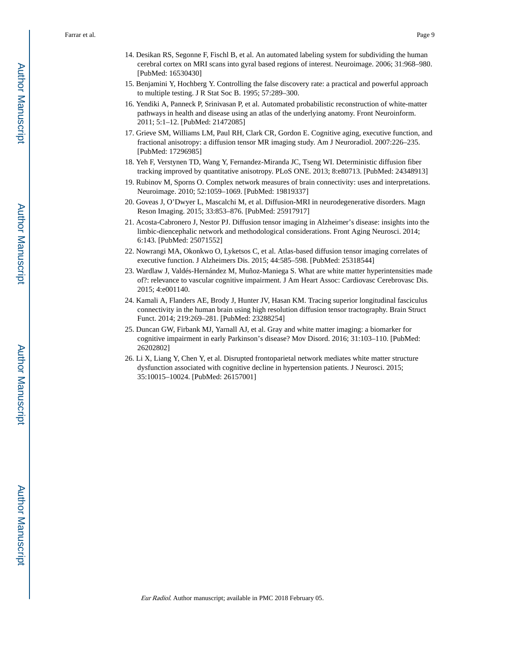- 15. Benjamini Y, Hochberg Y. Controlling the false discovery rate: a practical and powerful approach to multiple testing. J R Stat Soc B. 1995; 57:289–300.
- 16. Yendiki A, Panneck P, Srinivasan P, et al. Automated probabilistic reconstruction of white-matter pathways in health and disease using an atlas of the underlying anatomy. Front Neuroinform. 2011; 5:1–12. [PubMed: 21472085]
- 17. Grieve SM, Williams LM, Paul RH, Clark CR, Gordon E. Cognitive aging, executive function, and fractional anisotropy: a diffusion tensor MR imaging study. Am J Neuroradiol. 2007:226–235. [PubMed: 17296985]
- 18. Yeh F, Verstynen TD, Wang Y, Fernandez-Miranda JC, Tseng WI. Deterministic diffusion fiber tracking improved by quantitative anisotropy. PLoS ONE. 2013; 8:e80713. [PubMed: 24348913]
- 19. Rubinov M, Sporns O. Complex network measures of brain connectivity: uses and interpretations. Neuroimage. 2010; 52:1059–1069. [PubMed: 19819337]
- 20. Goveas J, O'Dwyer L, Mascalchi M, et al. Diffusion-MRI in neurodegenerative disorders. Magn Reson Imaging. 2015; 33:853–876. [PubMed: 25917917]
- 21. Acosta-Cabronero J, Nestor PJ. Diffusion tensor imaging in Alzheimer's disease: insights into the limbic-diencephalic network and methodological considerations. Front Aging Neurosci. 2014; 6:143. [PubMed: 25071552]
- 22. Nowrangi MA, Okonkwo O, Lyketsos C, et al. Atlas-based diffusion tensor imaging correlates of executive function. J Alzheimers Dis. 2015; 44:585–598. [PubMed: 25318544]
- 23. Wardlaw J, Valdés-Hernández M, Muñoz-Maniega S. What are white matter hyperintensities made of?: relevance to vascular cognitive impairment. J Am Heart Assoc: Cardiovasc Cerebrovasc Dis. 2015; 4:e001140.
- 24. Kamali A, Flanders AE, Brody J, Hunter JV, Hasan KM. Tracing superior longitudinal fasciculus connectivity in the human brain using high resolution diffusion tensor tractography. Brain Struct Funct. 2014; 219:269–281. [PubMed: 23288254]
- 25. Duncan GW, Firbank MJ, Yarnall AJ, et al. Gray and white matter imaging: a biomarker for cognitive impairment in early Parkinson's disease? Mov Disord. 2016; 31:103–110. [PubMed: 26202802]
- 26. Li X, Liang Y, Chen Y, et al. Disrupted frontoparietal network mediates white matter structure dysfunction associated with cognitive decline in hypertension patients. J Neurosci. 2015; 35:10015–10024. [PubMed: 26157001]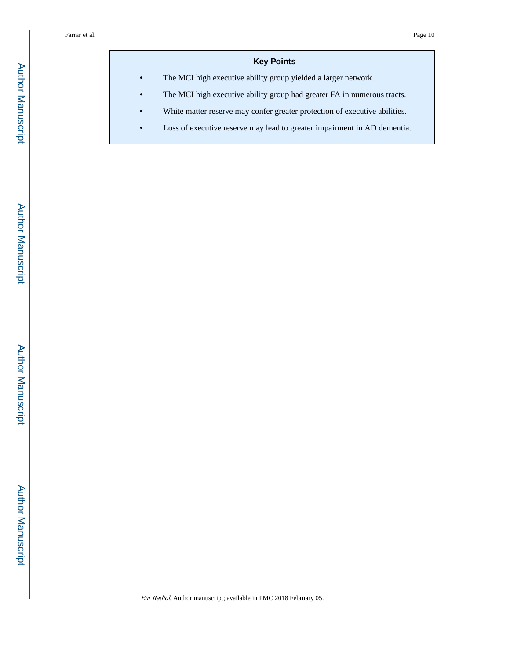#### **Key Points**

**•** The MCI high executive ability group yielded a larger network.

- **•** The MCI high executive ability group had greater FA in numerous tracts.
- White matter reserve may confer greater protection of executive abilities.
- **•** Loss of executive reserve may lead to greater impairment in AD dementia.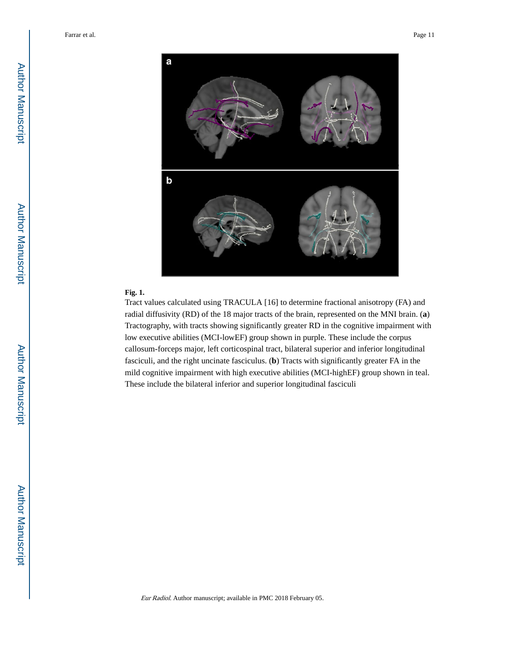

#### **Fig. 1.**

Tract values calculated using TRACULA [16] to determine fractional anisotropy (FA) and radial diffusivity (RD) of the 18 major tracts of the brain, represented on the MNI brain. (**a**) Tractography, with tracts showing significantly greater RD in the cognitive impairment with low executive abilities (MCI-lowEF) group shown in purple. These include the corpus callosum-forceps major, left corticospinal tract, bilateral superior and inferior longitudinal fasciculi, and the right uncinate fasciculus. (**b**) Tracts with significantly greater FA in the mild cognitive impairment with high executive abilities (MCI-highEF) group shown in teal. These include the bilateral inferior and superior longitudinal fasciculi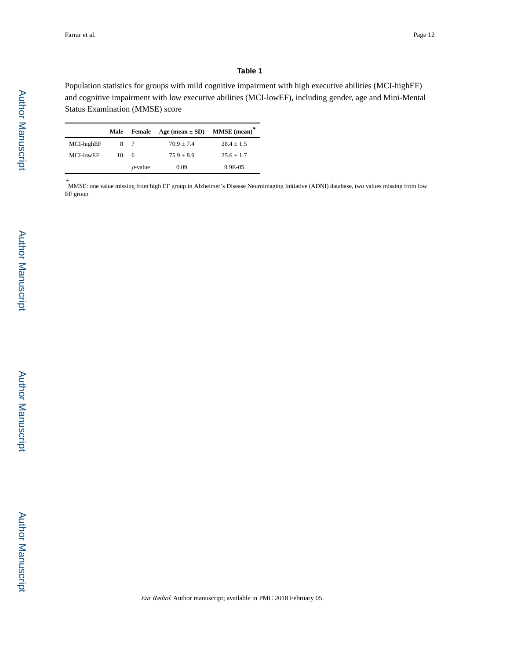#### **Table 1**

Population statistics for groups with mild cognitive impairment with high executive abilities (MCI-highEF) and cognitive impairment with low executive abilities (MCI-lowEF), including gender, age and Mini-Mental Status Examination (MMSE) score

|            | Male         | Female     | Age (mean $\pm$ SD) | <b>MMSE</b> (mean) <sup>*</sup> |
|------------|--------------|------------|---------------------|---------------------------------|
| MCI-highEF | 8.           | - 7        | $70.9 + 7.4$        | $28.4 + 1.5$                    |
| MCI-lowEF  | $10 \quad 6$ |            | $75.9 + 8.9$        | $25.6 + 1.7$                    |
|            |              | $p$ -value | 0.09                | $9.9E - 0.5$                    |

\* MMSE: one value missing from high EF group in Alzheimer's Disease Neuroimaging Initiative (ADNI) database, two values missing from low EF group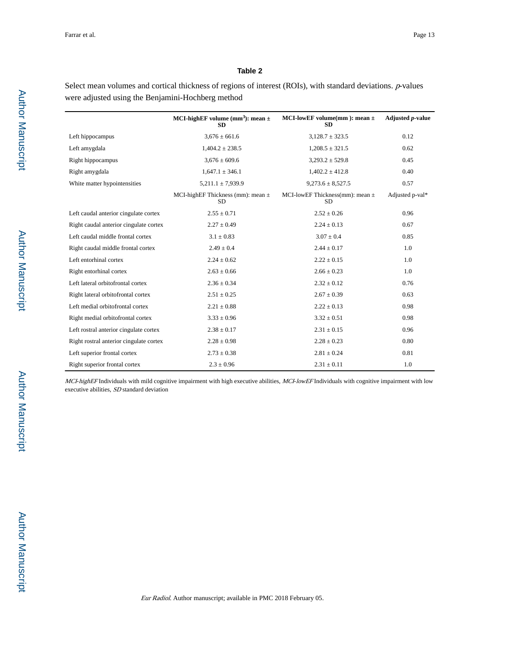#### **Table 2**

Select mean volumes and cortical thickness of regions of interest (ROIs), with standard deviations. p-values were adjusted using the Benjamini-Hochberg method

|                                         | MCI-highEF volume (mm <sup>3</sup> ): mean $\pm$<br><b>SD</b> | MCI-lowEF volume(mm): mean $\pm$<br><b>SD</b> | Adjusted p-value |
|-----------------------------------------|---------------------------------------------------------------|-----------------------------------------------|------------------|
| Left hippocampus                        | $3,676 \pm 661.6$                                             | $3,128.7 \pm 323.5$                           | 0.12             |
| Left amygdala                           | $1,404.2 \pm 238.5$                                           | $1,208.5 \pm 321.5$                           | 0.62             |
| Right hippocampus                       | $3,676 \pm 609.6$                                             | $3,293.2 \pm 529.8$                           | 0.45             |
| Right amygdala                          | $1,647.1 \pm 346.1$                                           | $1,402.2 \pm 412.8$                           | 0.40             |
| White matter hypointensities            | $5,211.1 \pm 7,939.9$                                         | $9,273.6 \pm 8,527.5$                         | 0.57             |
|                                         | MCI-highEF Thickness (mm): mean $\pm$<br><b>SD</b>            | MCI-lowEF Thickness(mm): mean $\pm$<br>SD     | Adjusted p-val*  |
| Left caudal anterior cingulate cortex   | $2.55 \pm 0.71$                                               | $2.52 \pm 0.26$                               | 0.96             |
| Right caudal anterior cingulate cortex  | $2.27 \pm 0.49$                                               | $2.24 \pm 0.13$                               | 0.67             |
| Left caudal middle frontal cortex       | $3.1 \pm 0.83$                                                | $3.07 \pm 0.4$                                | 0.85             |
| Right caudal middle frontal cortex      | $2.49 \pm 0.4$                                                | $2.44 \pm 0.17$                               | 1.0              |
| Left entorhinal cortex                  | $2.24 \pm 0.62$                                               | $2.22 \pm 0.15$                               | 1.0              |
| Right entorhinal cortex                 | $2.63 \pm 0.66$                                               | $2.66 \pm 0.23$                               | 1.0              |
| Left lateral orbitofrontal cortex       | $2.36 \pm 0.34$                                               | $2.32 \pm 0.12$                               | 0.76             |
| Right lateral orbitofrontal cortex      | $2.51 \pm 0.25$                                               | $2.67 \pm 0.39$                               | 0.63             |
| Left medial orbitofrontal cortex        | $2.21 \pm 0.88$                                               | $2.22 \pm 0.13$                               | 0.98             |
| Right medial orbitofrontal cortex       | $3.33 \pm 0.96$                                               | $3.32 \pm 0.51$                               | 0.98             |
| Left rostral anterior cingulate cortex  | $2.38 \pm 0.17$                                               | $2.31 \pm 0.15$                               | 0.96             |
| Right rostral anterior cingulate cortex | $2.28 \pm 0.98$                                               | $2.28 \pm 0.23$                               | 0.80             |
| Left superior frontal cortex            | $2.73 \pm 0.38$                                               | $2.81 \pm 0.24$                               | 0.81             |
| Right superior frontal cortex           | $2.3 \pm 0.96$                                                | $2.31 \pm 0.11$                               | 1.0              |

MCI-highEF Individuals with mild cognitive impairment with high executive abilities, MCI-lowEF Individuals with cognitive impairment with low executive abilities, SD standard deviation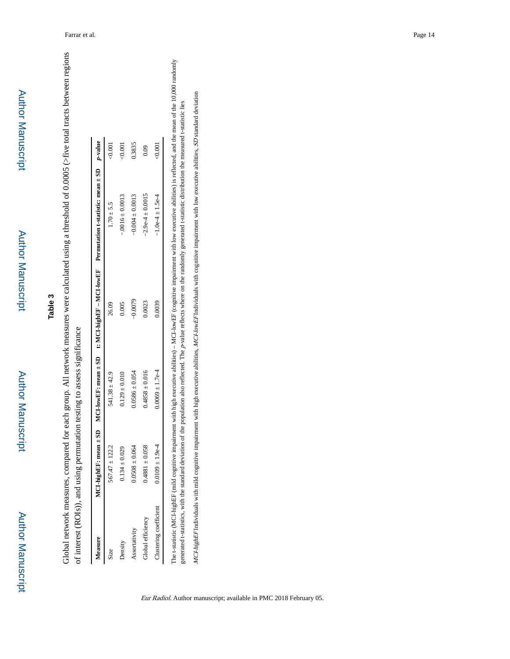Author Manuscript

**Author Manuscript** 

## **Table 3**

Global network measures, compared for each group. All network measures were calculated using a threshold of 0.0005 (>five total tracts between regions Global network measures, compared for each group. All network measures were calculated using a threshold of 0.0005 (>five total tracts between regions of interest (ROIs)), and using permutation testing to assess significance of interest (ROIs)), and using permutation testing to assess significance

| Measure                |                     |                        | MCI-highEF: mean ± SD MCI-lowEF: mean ± SD t: MCI-highEF – MCI-lowEF Permutation t-statistic: mean ± SD p-value |                      |              |
|------------------------|---------------------|------------------------|-----------------------------------------------------------------------------------------------------------------|----------------------|--------------|
| 51ZC                   | $567.47 \pm 122.2$  | $541.38 \pm 42.9$      | 26.09                                                                                                           | $1.70 \pm 5.5$       | < 0.001      |
| Density                | $0.134 \pm 0.029$   | $0.129 \pm 0.010$      | 0.005                                                                                                           | $-.0016 \pm 0.0013$  | $\leq 0.001$ |
| Assortativity          | $0.0508 \pm 0.064$  | $0.0586 \pm 0.054$     | $-0.0079$                                                                                                       | $-0.004 \pm 0.0013$  | 0.3835       |
| Global efficiency      | $0.4881 \pm 0.058$  | $0.4858 \pm 0.016$     | 0.0023                                                                                                          | $-2.9e-4 \pm 0.0015$ | 0.09         |
| Clustering coefficient | $0.0109 \pm 1.9e-4$ | $0.0069 \pm 1.7e^{-4}$ | 0.0039                                                                                                          | $-1.0e-4 \pm 1.5e-4$ | $0.001$      |

The t-statistic (MCI-highEF (mild cognitive impairment with high executive abilities) - MCI-lowEF (cognitive impairment with low executive abilities) is reflected, and the mean of the 10,000 randomly The t-statistic (MCI-highEF (mild cognitive impairment with high executive abilities) – MCI-lowEF (cognitive impairment with low executive abilities) is reflected, and the mean of the 10,000 randomly generated t-statistics, with the standard deviation of the population also reflectd. The p-value reflects where on the randomly generated t-statistic distribution the measured t-statistic lies p-value reflects where on the randomly generated t-statistic distribution the measured t-statistic lies generated t-statistics, with the standard deviation of the population also reflected. The

MCI-highEFIndividuals with mild cognitive impairment with high executive abilities, MCI-lowEFIndividuals with cognitive impairment with low executive abilities, SD standard deviation MCI-highEF Individuals with mild cognitive impairment with high executive abilities, MCI-lowEF Individuals with cognitive impairment with low executive abilities, SD standard deviation